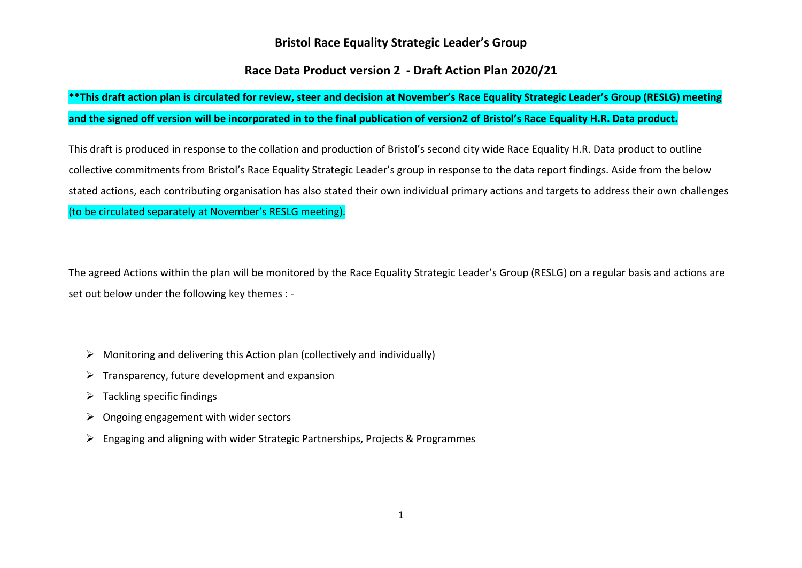#### **Bristol Race Equality Strategic Leader's Group**

#### **Race Data Product version 2 - Draft Action Plan 2020/21**

### **\*\*This draft action plan is circulated for review, steer and decision at November's Race Equality Strategic Leader's Group (RESLG) meeting and the signed off version will be incorporated in to the final publication of version2 of Bristol's Race Equality H.R. Data product.**

This draft is produced in response to the collation and production of Bristol's second city wide Race Equality H.R. Data product to outline collective commitments from Bristol's Race Equality Strategic Leader's group in response to the data report findings. Aside from the below stated actions, each contributing organisation has also stated their own individual primary actions and targets to address their own challenges (to be circulated separately at November's RESLG meeting).

The agreed Actions within the plan will be monitored by the Race Equality Strategic Leader's Group (RESLG) on a regular basis and actions are set out below under the following key themes : -

- $\triangleright$  Monitoring and delivering this Action plan (collectively and individually)
- $\triangleright$  Transparency, future development and expansion
- $\triangleright$  Tackling specific findings
- $\triangleright$  Ongoing engagement with wider sectors
- $\triangleright$  Engaging and aligning with wider Strategic Partnerships, Projects & Programmes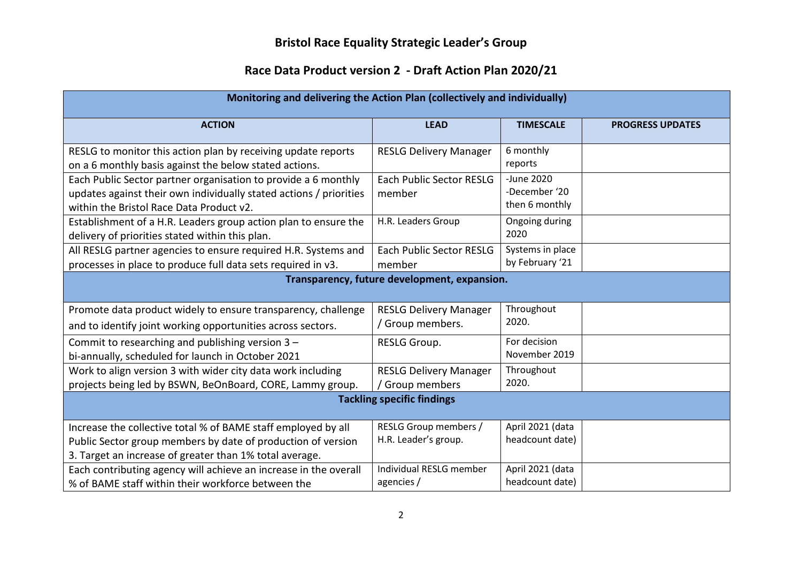# **Bristol Race Equality Strategic Leader's Group**

## **Race Data Product version 2 - Draft Action Plan 2020/21**

| Monitoring and delivering the Action Plan (collectively and individually)                                                                                                                |                                                      |                                               |                         |  |
|------------------------------------------------------------------------------------------------------------------------------------------------------------------------------------------|------------------------------------------------------|-----------------------------------------------|-------------------------|--|
| <b>ACTION</b>                                                                                                                                                                            | <b>LEAD</b>                                          | <b>TIMESCALE</b>                              | <b>PROGRESS UPDATES</b> |  |
| RESLG to monitor this action plan by receiving update reports<br>on a 6 monthly basis against the below stated actions.                                                                  | <b>RESLG Delivery Manager</b>                        | 6 monthly<br>reports                          |                         |  |
| Each Public Sector partner organisation to provide a 6 monthly<br>updates against their own individually stated actions / priorities<br>within the Bristol Race Data Product v2.         | <b>Each Public Sector RESLG</b><br>member            | -June 2020<br>-December '20<br>then 6 monthly |                         |  |
| Establishment of a H.R. Leaders group action plan to ensure the<br>delivery of priorities stated within this plan.                                                                       | H.R. Leaders Group                                   | Ongoing during<br>2020                        |                         |  |
| All RESLG partner agencies to ensure required H.R. Systems and<br>processes in place to produce full data sets required in v3.                                                           | <b>Each Public Sector RESLG</b><br>member            | Systems in place<br>by February '21           |                         |  |
| Transparency, future development, expansion.                                                                                                                                             |                                                      |                                               |                         |  |
| Promote data product widely to ensure transparency, challenge<br>and to identify joint working opportunities across sectors.                                                             | <b>RESLG Delivery Manager</b><br>/ Group members.    | Throughout<br>2020.                           |                         |  |
| Commit to researching and publishing version 3 -<br>bi-annually, scheduled for launch in October 2021                                                                                    | RESLG Group.                                         | For decision<br>November 2019                 |                         |  |
| Work to align version 3 with wider city data work including<br>projects being led by BSWN, BeOnBoard, CORE, Lammy group.                                                                 | <b>RESLG Delivery Manager</b><br>/ Group members     | Throughout<br>2020.                           |                         |  |
| <b>Tackling specific findings</b>                                                                                                                                                        |                                                      |                                               |                         |  |
| Increase the collective total % of BAME staff employed by all<br>Public Sector group members by date of production of version<br>3. Target an increase of greater than 1% total average. | <b>RESLG Group members /</b><br>H.R. Leader's group. | April 2021 (data<br>headcount date)           |                         |  |
| Each contributing agency will achieve an increase in the overall<br>% of BAME staff within their workforce between the                                                                   | Individual RESLG member<br>agencies /                | April 2021 (data<br>headcount date)           |                         |  |